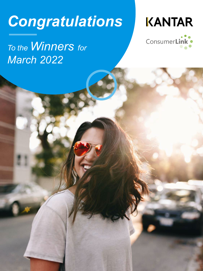# *Congratulations*



# *To the Winners for March 2022*

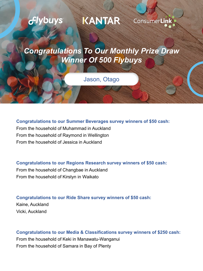## KANTAR *<u>Glybuys</u>* **ConsumerLink**

### *Congratulations To Our Monthly Prize Draw Winner Of 500 Flybuys*

### Jason, Otago

#### **Congratulations to our Summer Beverages survey winners of \$50 cash:**

From the household of Muhammad in Auckland From the household of Raymond in Wellington From the household of Jessica in Auckland

#### **Congratulations to our Regions Research survey winners of \$50 cash:**

From the household of Changbae in Auckland From the household of Kirstyn in Waikato

#### **Congratulations to our Ride Share survey winners of \$50 cash:**

Kaine, Auckland Vicki, Auckland

### **Congratulations to our Media & Classifications survey winners of \$250 cash:** From the household of Keki in Manawatu-Wanganui From the household of Samara in Bay of Plenty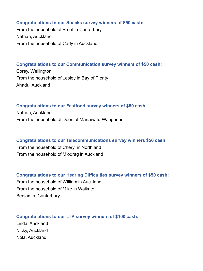#### **Congratulations to our Snacks survey winners of \$50 cash:**

From the household of Brent in Canterbury Nathan, Auckland From the household of Carly in Auckland

#### **Congratulations to our Communication survey winners of \$50 cash:**

Corey, Wellington From the household of Lesley in Bay of Plenty Ahadu, Auckland

#### **Congratulations to our Fastfood survey winners of \$50 cash:**

Nathan, Auckland From the household of Deon of Manawatu-Wanganui

**Congratulations to our Telecommunications survey winners \$50 cash:** From the household of Cheryl in Northland From the household of Miodrag in Auckland

**Congratulations to our Hearing Difficulties survey winners of \$50 cash:** From the household of William in Auckland From the household of Mike in Waikato Benjamin, Canterbury

**Congratulations to our LTP survey winners of \$100 cash:**  Linda, Auckland Nicky, Auckland Nola, Auckland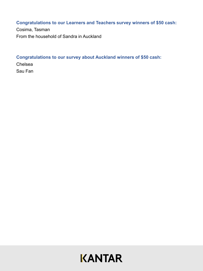#### **Congratulations to our Learners and Teachers survey winners of \$50 cash:**

Cosima, Tasman From the household of Sandra in Auckland

#### **Congratulations to our survey about Auckland winners of \$50 cash:**

Chelsea Sau Fan

## **KANTAR**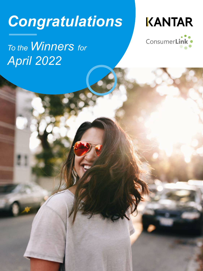# *Congratulations*



# *To the Winners for April 2022*

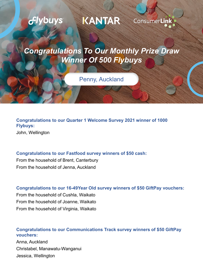

**Congratulations to our Quarter 1 Welcome Survey 2021 winner of 1000 Flybuys:** John, Wellington

#### **Congratulations to our Fastfood survey winners of \$50 cash:**

From the household of Brent, Canterbury From the household of Jenna, Auckland

#### **Congratulations to our 16-49Year Old survey winners of \$50 GiftPay vouchers:**

From the household of Cushla, Waikato From the household of Joanne, Waikato From the household of Virginia, Waikato

### **Congratulations to our Communications Track survey winners of \$50 GiftPay vouchers:**

Anna, Auckland Christabel, Manawatu-Wanganui Jessica, Wellington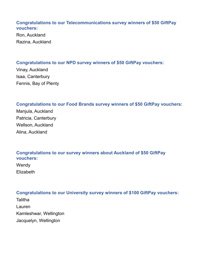#### **Congratulations to our Telecommunications survey winners of \$50 GiftPay vouchers:**

Ron, Auckland Razina, Auckland

#### **Congratulations to our NPD survey winners of \$50 GiftPay vouchers:**

Vinay, Auckland Isaa, Canterbury Fennis, Bay of Plenty

#### **Congratulations to our Food Brands survey winners of \$50 GiftPay vouchers:**

Manjula, Auckland Patricia, Canterbury Wellson, Auckland Alina, Auckland

#### **Congratulations to our survey winners about Auckland of \$50 GiftPay vouchers:**

Wendy **Elizabeth** 

#### **Congratulations to our University survey winners of \$100 GiftPay vouchers:**

**Talitha** Lauren Kamleshwar, Wellington Jacquelyn, Wellington